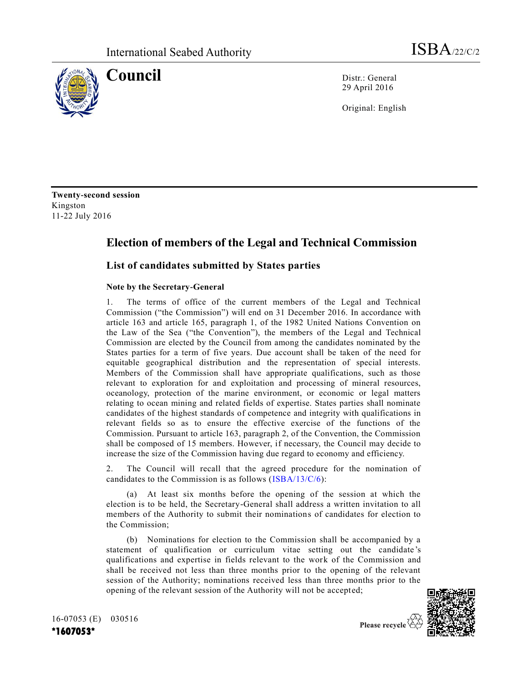

**Council** Distr.: General 29 April 2016

Original: English

**Twenty-second session** Kingston 11-22 July 2016

## **Election of members of the Legal and Technical Commission**

## **List of candidates submitted by States parties**

## **Note by the Secretary-General**

1. The terms of office of the current members of the Legal and Technical Commission ("the Commission") will end on 31 December 2016. In accordance with article 163 and article 165, paragraph 1, of the 1982 United Nations Convention on the Law of the Sea ("the Convention"), the members of the Legal and Technical Commission are elected by the Council from among the candidates nominated by the States parties for a term of five years. Due account shall be taken of the need for equitable geographical distribution and the representation of special interests. Members of the Commission shall have appropriate qualifications, such as those relevant to exploration for and exploitation and processing of mineral resources, oceanology, protection of the marine environment, or economic or legal matters relating to ocean mining and related fields of expertise. States parties shall nominate candidates of the highest standards of competence and integrity with qualifications in relevant fields so as to ensure the effective exercise of the functions of the Commission. Pursuant to article 163, paragraph 2, of the Convention, the Commission shall be composed of 15 members. However, if necessary, the Council may decide to increase the size of the Commission having due regard to economy and efficiency.

2. The Council will recall that the agreed procedure for the nomination of candidates to the Commission is as follows [\(ISBA/13/C/6\)](http://undocs.org/ISBA/13/C/6):

(a) At least six months before the opening of the session at which the election is to be held, the Secretary-General shall address a written invitation to all members of the Authority to submit their nominations of candidates for election to the Commission;

(b) Nominations for election to the Commission shall be accompanied by a statement of qualification or curriculum vitae setting out the candidate 's qualifications and expertise in fields relevant to the work of the Commission and shall be received not less than three months prior to the opening of the relevant session of the Authority; nominations received less than three months prior to the opening of the relevant session of the Authority will not be accepted;



16-07053 (E) 030516 **\*1607053\***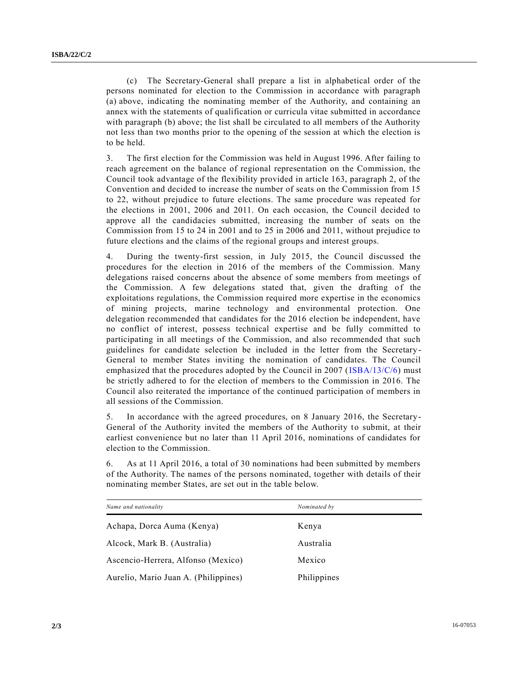(c) The Secretary-General shall prepare a list in alphabetical order of the persons nominated for election to the Commission in accordance with paragraph (a) above, indicating the nominating member of the Authority, and containing an annex with the statements of qualification or curricula vitae submitted in accordance with paragraph (b) above; the list shall be circulated to all members of the Authority not less than two months prior to the opening of the session at which the election is to be held.

3. The first election for the Commission was held in August 1996. After failing to reach agreement on the balance of regional representation on the Commission, the Council took advantage of the flexibility provided in article 163, paragraph 2, of the Convention and decided to increase the number of seats on the Commission from 15 to 22, without prejudice to future elections. The same procedure was repeated for the elections in 2001, 2006 and 2011. On each occasion, the Council decided to approve all the candidacies submitted, increasing the number of seats on the Commission from 15 to 24 in 2001 and to 25 in 2006 and 2011, without prejudice to future elections and the claims of the regional groups and interest groups.

4. During the twenty-first session, in July 2015, the Council discussed the procedures for the election in 2016 of the members of the Commission. Many delegations raised concerns about the absence of some members from meetings of the Commission. A few delegations stated that, given the drafting of the exploitations regulations, the Commission required more expertise in the economics of mining projects, marine technology and environmental protection. One delegation recommended that candidates for the 2016 election be independent, have no conflict of interest, possess technical expertise and be fully committed to participating in all meetings of the Commission, and also recommended that such guidelines for candidate selection be included in the letter from the Secretary - General to member States inviting the nomination of candidates. The Council emphasized that the procedures adopted by the Council in 2007 [\(ISBA/13/C/6\)](http://undocs.org/ISBA/13/C/6) must be strictly adhered to for the election of members to the Commission in 2016. The Council also reiterated the importance of the continued participation of members in all sessions of the Commission.

5. In accordance with the agreed procedures, on 8 January 2016, the Secretary-General of the Authority invited the members of the Authority to submit, at their earliest convenience but no later than 11 April 2016, nominations of candidates for election to the Commission.

6. As at 11 April 2016, a total of 30 nominations had been submitted by members of the Authority. The names of the persons nominated, together with details of their nominating member States, are set out in the table below.

| Name and nationality                 | Nominated by |  |
|--------------------------------------|--------------|--|
| Achapa, Dorca Auma (Kenya)           | Kenya        |  |
| Alcock, Mark B. (Australia)          | Australia    |  |
| Ascencio-Herrera, Alfonso (Mexico)   | Mexico       |  |
| Aurelio, Mario Juan A. (Philippines) | Philippines  |  |